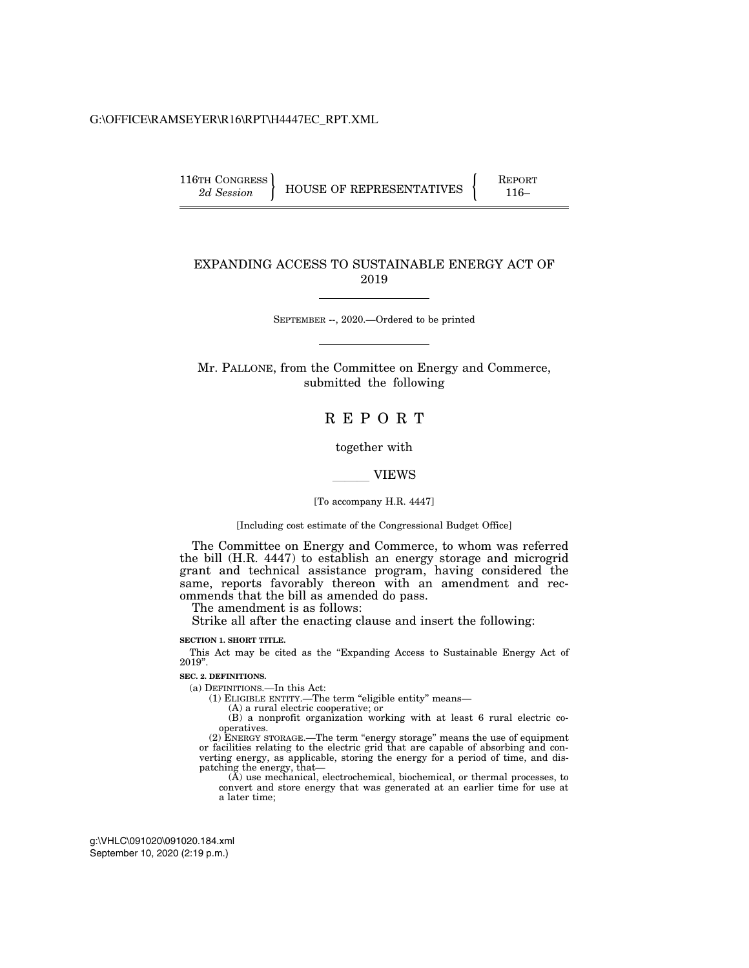#### G:\OFFICE\RAMSEYER\R16\RPT\H4447EC\_RPT.XML

116TH CONGRESS **REPORT 116-**  $2d$  Session **HOUSE OF REPRESENTATIVES**  $\begin{cases}$  REPORT

#### EXPANDING ACCESS TO SUSTAINABLE ENERGY ACT OF 2019

SEPTEMBER --, 2020.—Ordered to be printed

Mr. PALLONE, from the Committee on Energy and Commerce, submitted the following

# R E P O R T

together with

#### **VIEWS**

#### [To accompany H.R. 4447]

[Including cost estimate of the Congressional Budget Office]

The Committee on Energy and Commerce, to whom was referred the bill (H.R. 4447) to establish an energy storage and microgrid grant and technical assistance program, having considered the same, reports favorably thereon with an amendment and recommends that the bill as amended do pass.

The amendment is as follows:

Strike all after the enacting clause and insert the following:

#### **SECTION 1. SHORT TITLE.**

This Act may be cited as the "Expanding Access to Sustainable Energy Act of 2019''.

#### **SEC. 2. DEFINITIONS.**

(a) DEFINITIONS.—In this Act:

(1) ELIGIBLE ENTITY.—The term ''eligible entity'' means—

(A) a rural electric cooperative; or

(B) a nonprofit organization working with at least 6 rural electric cooperatives.

(2) ENERGY STORAGE.—The term ''energy storage'' means the use of equipment or facilities relating to the electric grid that are capable of absorbing and converting energy, as applicable, storing the energy for a period of time, and dispatching the energy, that—

(A) use mechanical, electrochemical, biochemical, or thermal processes, to convert and store energy that was generated at an earlier time for use at a later time;

September 10, 2020 (2:19 p.m.) g:\VHLC\091020\091020.184.xml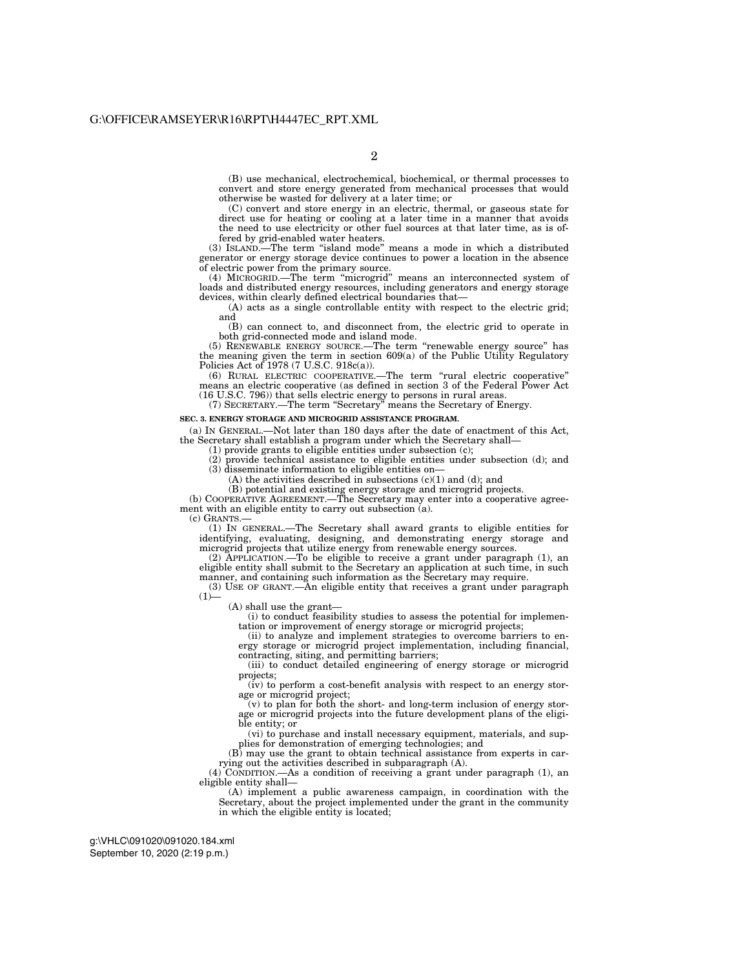(B) use mechanical, electrochemical, biochemical, or thermal processes to convert and store energy generated from mechanical processes that would otherwise be wasted for delivery at a later time; or

(C) convert and store energy in an electric, thermal, or gaseous state for direct use for heating or cooling at a later time in a manner that avoids the need to use electricity or other fuel sources at that later time, as is offered by grid-enabled water heaters.

(3) ISLAND.—The term ''island mode'' means a mode in which a distributed generator or energy storage device continues to power a location in the absence of electric power from the primary source.

(4) MICROGRID.—The term ''microgrid'' means an interconnected system of loads and distributed energy resources, including generators and energy storage devices, within clearly defined electrical boundaries that—

(A) acts as a single controllable entity with respect to the electric grid; and

(B) can connect to, and disconnect from, the electric grid to operate in both grid-connected mode and island mode.

(5) RENEWABLE ENERGY SOURCE.—The term ''renewable energy source'' has the meaning given the term in section 609(a) of the Public Utility Regulatory Policies Act of 1978 (7 U.S.C. 918c(a)).

(6) RURAL ELECTRIC COOPERATIVE.—The term ''rural electric cooperative'' means an electric cooperative (as defined in section 3 of the Federal Power Act (16 U.S.C. 796)) that sells electric energy to persons in rural areas.

(7) SECRETARY.—The term ''Secretary'' means the Secretary of Energy.

#### **SEC. 3. ENERGY STORAGE AND MICROGRID ASSISTANCE PROGRAM.**

(a) IN GENERAL.—Not later than 180 days after the date of enactment of this Act, the Secretary shall establish a program under which the Secretary shall—

(1) provide grants to eligible entities under subsection (c);

(2) provide technical assistance to eligible entities under subsection (d); and (3) disseminate information to eligible entities on—

 $(A)$  the activities described in subsections  $(c)(1)$  and  $(d)$ ; and

(B) potential and existing energy storage and microgrid projects.

(b) COOPERATIVE AGREEMENT.—The Secretary may enter into a cooperative agreement with an eligible entity to carry out subsection (a).

(c) GRANTS.—

(1) IN GENERAL.—The Secretary shall award grants to eligible entities for identifying, evaluating, designing, and demonstrating energy storage and microgrid projects that utilize energy from renewable energy sources.

(2) APPLICATION.—To be eligible to receive a grant under paragraph (1), an eligible entity shall submit to the Secretary an application at such time, in such manner, and containing such information as the Secretary may require.

(3) USE OF GRANT.—An eligible entity that receives a grant under paragraph  $(1)$ —

(A) shall use the grant—

(i) to conduct feasibility studies to assess the potential for implementation or improvement of energy storage or microgrid projects;

(ii) to analyze and implement strategies to overcome barriers to energy storage or microgrid project implementation, including financial, contracting, siting, and permitting barriers;

(iii) to conduct detailed engineering of energy storage or microgrid projects;

(iv) to perform a cost-benefit analysis with respect to an energy storage or microgrid project;

(v) to plan for both the short- and long-term inclusion of energy storage or microgrid projects into the future development plans of the eligible entity; or

(vi) to purchase and install necessary equipment, materials, and supplies for demonstration of emerging technologies; and

(B) may use the grant to obtain technical assistance from experts in carrying out the activities described in subparagraph (A).

(4) CONDITION.—As a condition of receiving a grant under paragraph (1), an eligible entity shall—

(A) implement a public awareness campaign, in coordination with the Secretary, about the project implemented under the grant in the community in which the eligible entity is located;

September 10, 2020 (2:19 p.m.) g:\VHLC\091020\091020.184.xml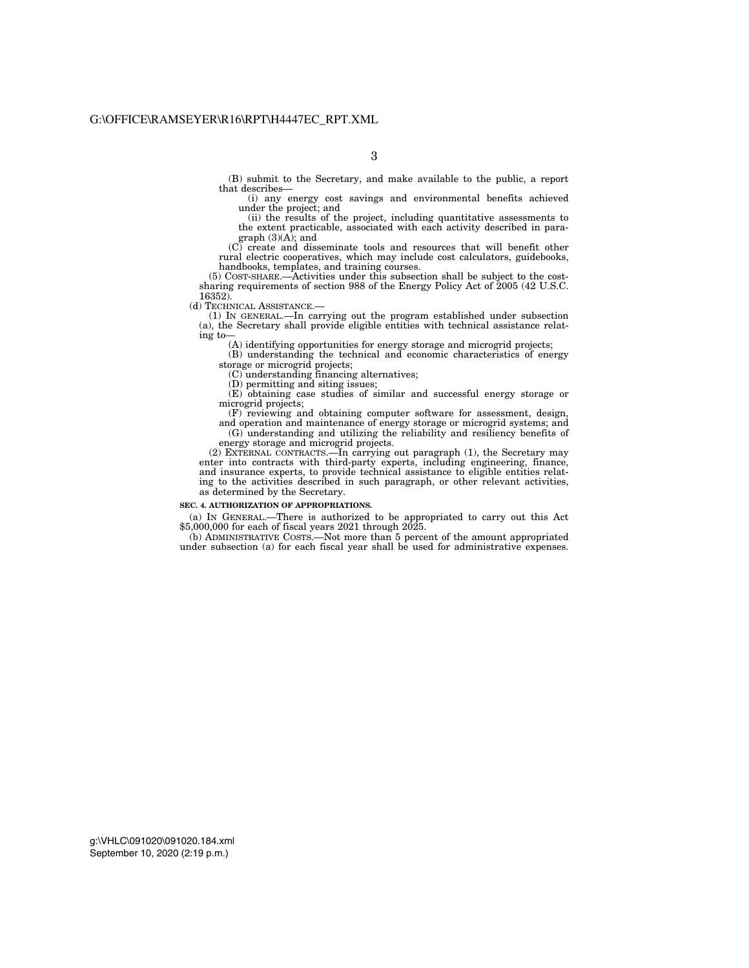(B) submit to the Secretary, and make available to the public, a report that describes—

3

(i) any energy cost savings and environmental benefits achieved under the project; and

(ii) the results of the project, including quantitative assessments to the extent practicable, associated with each activity described in paragraph (3)(A); and

(C) create and disseminate tools and resources that will benefit other rural electric cooperatives, which may include cost calculators, guidebooks, handbooks, templates, and training courses.

(5) COST-SHARE.—Activities under this subsection shall be subject to the costsharing requirements of section 988 of the Energy Policy Act of 2005 (42 U.S.C. 16352).

(d) TECHNICAL ASSISTANCE.—

(1) IN GENERAL.—In carrying out the program established under subsection (a), the Secretary shall provide eligible entities with technical assistance relating to—

(A) identifying opportunities for energy storage and microgrid projects;

(B) understanding the technical and economic characteristics of energy storage or microgrid projects;

(C) understanding financing alternatives;

(D) permitting and siting issues;

(E) obtaining case studies of similar and successful energy storage or microgrid projects;

(F) reviewing and obtaining computer software for assessment, design, and operation and maintenance of energy storage or microgrid systems; and  $(G)$  understanding and utilizing the reliability and resiliency benefits of energy storage and microgrid projects.

(2) EXTERNAL CONTRACTS.—In carrying out paragraph (1), the Secretary may enter into contracts with third-party experts, including engineering, finance, and insurance experts, to provide technical assistance to eligible entities relating to the activities described in such paragraph, or other relevant activities, as determined by the Secretary.

#### **SEC. 4. AUTHORIZATION OF APPROPRIATIONS.**

(a) IN GENERAL.—There is authorized to be appropriated to carry out this Act \$5,000,000 for each of fiscal years 2021 through 2025.

(b) ADMINISTRATIVE COSTS.—Not more than 5 percent of the amount appropriated under subsection (a) for each fiscal year shall be used for administrative expenses.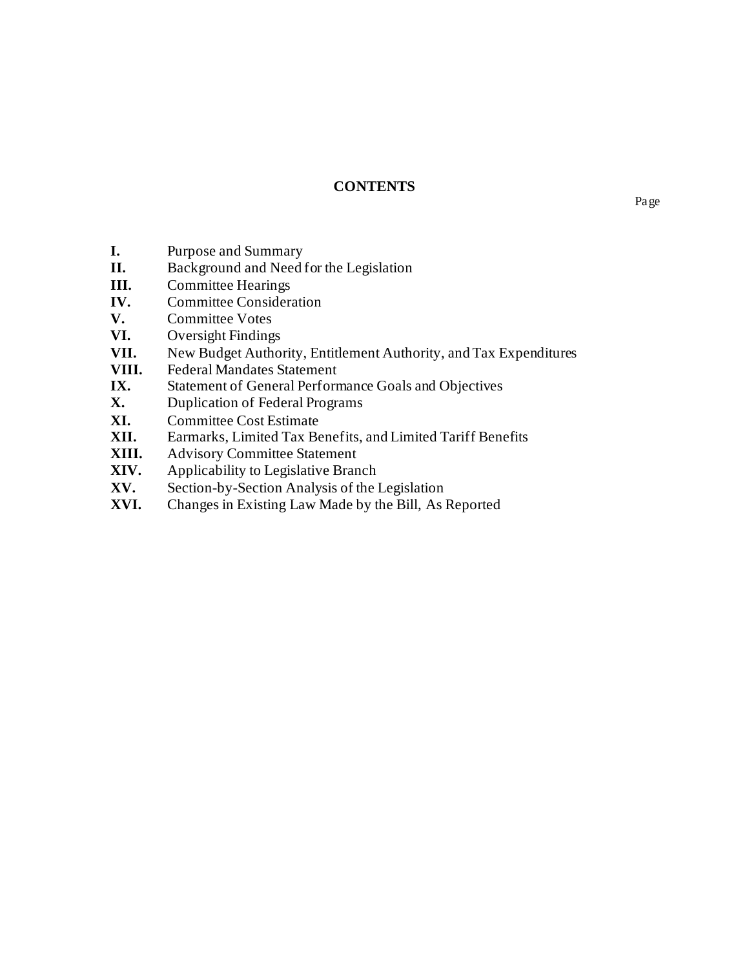# **CONTENTS**

- **I.** Purpose and Summary
- **II.** Background and Need for the Legislation
- **III.** Committee Hearings
- **IV.** Committee Consideration
- **V.** Committee Votes
- **VI.** Oversight Findings
- **VII.** New Budget Authority, Entitlement Authority, and Tax Expenditures
- **VIII.** Federal Mandates Statement<br>IX. Statement of General Perform
- Statement of General Performance Goals and Objectives
- **X.** Duplication of Federal Programs
- **XI.** Committee Cost Estimate
- **XII.** Earmarks, Limited Tax Benefits, and Limited Tariff Benefits
- **XIII.** Advisory Committee Statement
- **XIV.** Applicability to Legislative Branch
- **XV.** Section-by-Section Analysis of the Legislation
- **XVI.** Changes in Existing Law Made by the Bill, As Reported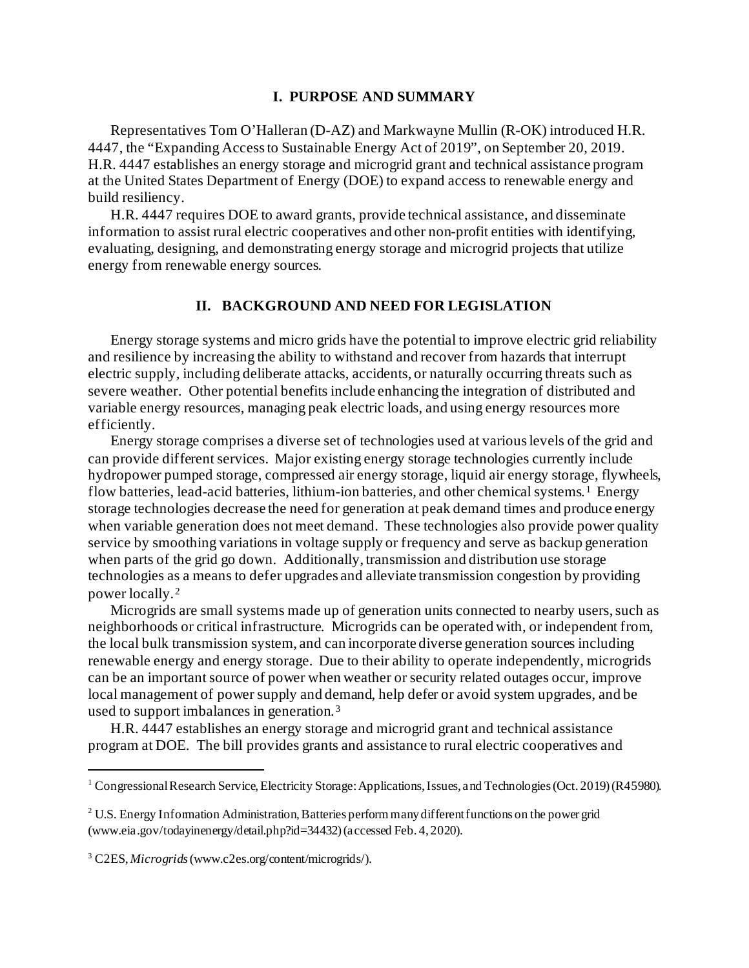#### **I. PURPOSE AND SUMMARY**

Representatives Tom O'Halleran (D-AZ) and Markwayne Mullin (R-OK) introduced H.R. 4447, the "Expanding Access to Sustainable Energy Act of 2019", on September 20, 2019. H.R. 4447 establishes an energy storage and microgrid grant and technical assistance program at the United States Department of Energy (DOE) to expand access to renewable energy and build resiliency.

H.R. 4447 requires DOE to award grants, provide technical assistance, and disseminate information to assist rural electric cooperatives and other non-profit entities with identifying, evaluating, designing, and demonstrating energy storage and microgrid projects that utilize energy from renewable energy sources.

## **II. BACKGROUND AND NEED FOR LEGISLATION**

Energy storage systems and micro grids have the potential to improve electric grid reliability and resilience by increasing the ability to withstand and recover from hazards that interrupt electric supply, including deliberate attacks, accidents, or naturally occurring threats such as severe weather. Other potential benefits include enhancing the integration of distributed and variable energy resources, managing peak electric loads, and using energy resources more efficiently.

Energy storage comprises a diverse set of technologies used at various levels of the grid and can provide different services. Major existing energy storage technologies currently include hydropower pumped storage, compressed air energy storage, liquid air energy storage, flywheels, flow batteries, lead-acid batteries, lithium-ion batteries, and other chemical systems.<sup>[1](#page-4-0)</sup> Energy storage technologies decrease the need for generation at peak demand times and produce energy when variable generation does not meet demand. These technologies also provide power quality service by smoothing variations in voltage supply or frequency and serve as backup generation when parts of the grid go down. Additionally, transmission and distribution use storage technologies as a means to defer upgrades and alleviate transmission congestion by providing power locally. [2](#page-4-1)

Microgrids are small systems made up of generation units connected to nearby users, such as neighborhoods or critical infrastructure. Microgrids can be operated with, or independent from, the local bulk transmission system, and can incorporate diverse generation sources including renewable energy and energy storage. Due to their ability to operate independently, microgrids can be an important source of power when weather or security related outages occur, improve local management of power supply and demand, help defer or avoid system upgrades, and be used to support imbalances in generation. [3](#page-4-2)

H.R. 4447 establishes an energy storage and microgrid grant and technical assistance program at DOE. The bill provides grants and assistance to rural electric cooperatives and

<span id="page-4-0"></span><sup>&</sup>lt;sup>1</sup> Congressional Research Service, Electricity Storage: Applications, Issues, and Technologies (Oct. 2019) (R45980).

<span id="page-4-1"></span><sup>&</sup>lt;sup>2</sup> U.S. Energy Information Administration, Batteries perform many different functions on the power grid (www.eia.gov/todayinenergy/detail.php?id=34432) (accessed Feb. 4, 2020).

<span id="page-4-2"></span><sup>3</sup> C2ES, *Microgrids* (www.c2es.org/content/microgrids/).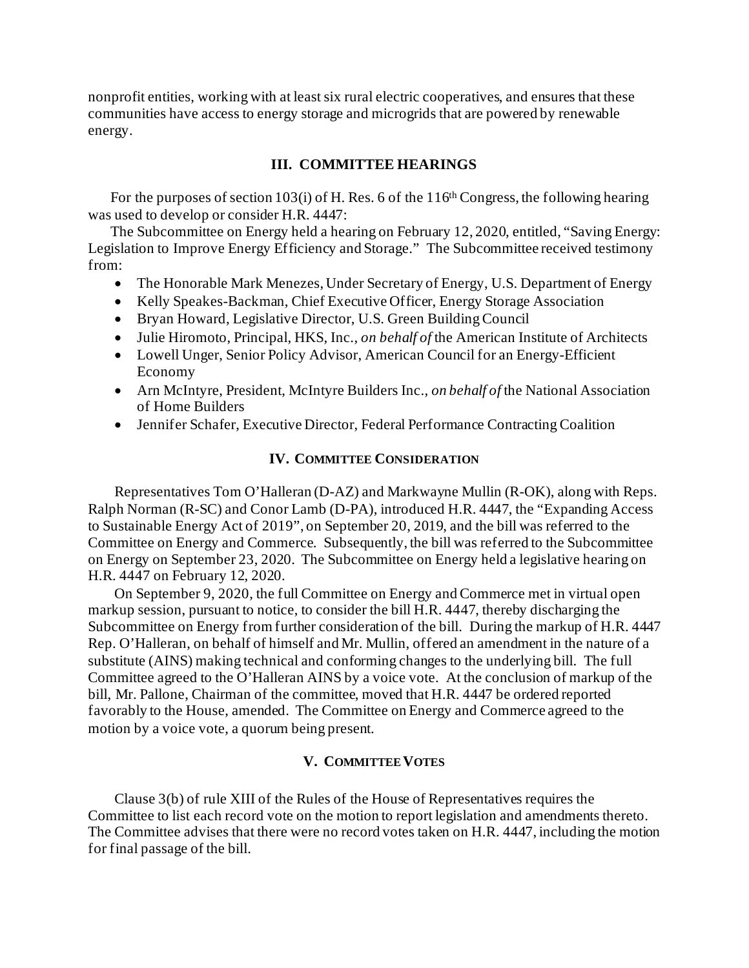nonprofit entities, working with at least six rural electric cooperatives, and ensures that these communities have access to energy storage and microgrids that are powered by renewable energy.

## **III. COMMITTEE HEARINGS**

For the purposes of section 103(i) of H. Res. 6 of the  $116<sup>th</sup> Congress$ , the following hearing was used to develop or consider H.R. 4447:

The Subcommittee on Energy held a hearing on February 12, 2020, entitled, "Saving Energy: Legislation to Improve Energy Efficiency and Storage." The Subcommittee received testimony from:

- The Honorable Mark Menezes, Under Secretary of Energy, U.S. Department of Energy
- Kelly Speakes-Backman, Chief Executive Officer, Energy Storage Association
- Bryan Howard, Legislative Director, U.S. Green Building Council
- Julie Hiromoto, Principal, HKS, Inc., *on behalf of* the American Institute of Architects
- Lowell Unger, Senior Policy Advisor, American Council for an Energy-Efficient Economy
- Arn McIntyre, President, McIntyre Builders Inc., *on behalf of* the National Association of Home Builders
- Jennifer Schafer, Executive Director, Federal Performance Contracting Coalition

#### **IV. COMMITTEE CONSIDERATION**

Representatives Tom O'Halleran (D-AZ) and Markwayne Mullin (R-OK), along with Reps. Ralph Norman (R-SC) and Conor Lamb (D-PA), introduced H.R. 4447, the "Expanding Access to Sustainable Energy Act of 2019", on September 20, 2019, and the bill was referred to the Committee on Energy and Commerce. Subsequently, the bill was referred to the Subcommittee on Energy on September 23, 2020. The Subcommittee on Energy held a legislative hearing on H.R. 4447 on February 12, 2020.

On September 9, 2020, the full Committee on Energy and Commerce met in virtual open markup session, pursuant to notice, to consider the bill H.R. 4447, thereby discharging the Subcommittee on Energy from further consideration of the bill. During the markup of H.R. 4447 Rep. O'Halleran, on behalf of himself and Mr. Mullin, offered an amendment in the nature of a substitute (AINS) making technical and conforming changes to the underlying bill. The full Committee agreed to the O'Halleran AINS by a voice vote. At the conclusion of markup of the bill, Mr. Pallone, Chairman of the committee, moved that H.R. 4447 be ordered reported favorably to the House, amended. The Committee on Energy and Commerce agreed to the motion by a voice vote, a quorum being present.

#### **V. COMMITTEE VOTES**

Clause 3(b) of rule XIII of the Rules of the House of Representatives requires the Committee to list each record vote on the motion to report legislation and amendments thereto. The Committee advises that there were no record votes taken on H.R. 4447, including the motion for final passage of the bill.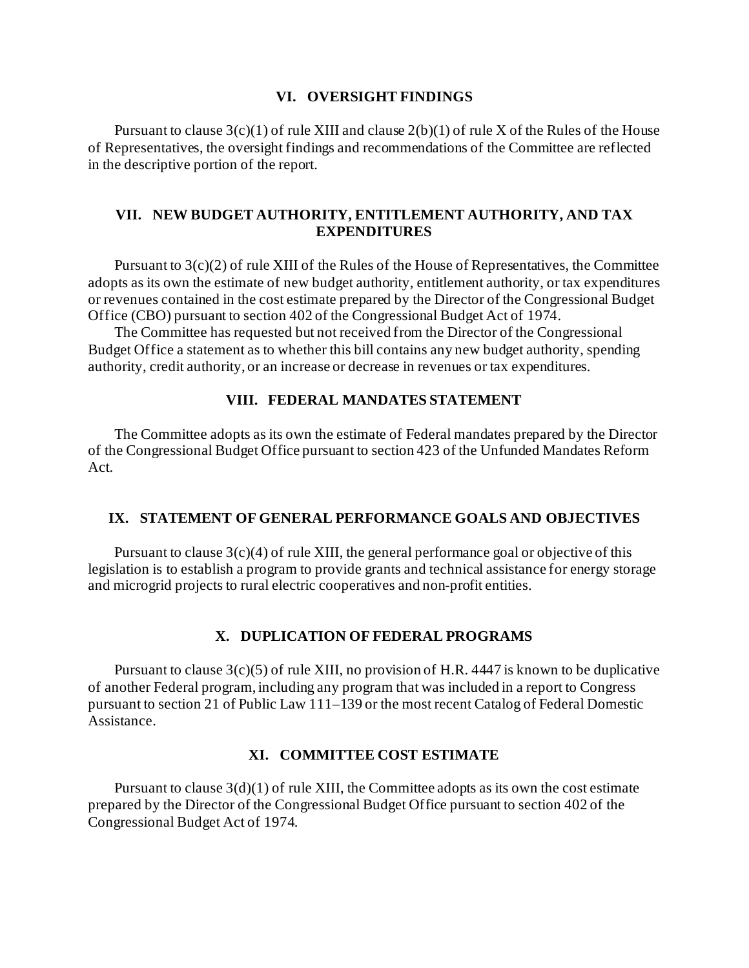#### **VI. OVERSIGHT FINDINGS**

Pursuant to clause  $3(c)(1)$  of rule XIII and clause  $2(b)(1)$  of rule X of the Rules of the House of Representatives, the oversight findings and recommendations of the Committee are reflected in the descriptive portion of the report.

## **VII. NEW BUDGET AUTHORITY, ENTITLEMENT AUTHORITY, AND TAX EXPENDITURES**

Pursuant to 3(c)(2) of rule XIII of the Rules of the House of Representatives, the Committee adopts as its own the estimate of new budget authority, entitlement authority, or tax expenditures or revenues contained in the cost estimate prepared by the Director of the Congressional Budget Office (CBO) pursuant to section 402 of the Congressional Budget Act of 1974.

The Committee has requested but not received from the Director of the Congressional Budget Office a statement as to whether this bill contains any new budget authority, spending authority, credit authority, or an increase or decrease in revenues or tax expenditures.

#### **VIII. FEDERAL MANDATES STATEMENT**

The Committee adopts as its own the estimate of Federal mandates prepared by the Director of the Congressional Budget Office pursuant to section 423 of the Unfunded Mandates Reform Act.

### **IX. STATEMENT OF GENERAL PERFORMANCE GOALS AND OBJECTIVES**

Pursuant to clause  $3(c)(4)$  of rule XIII, the general performance goal or objective of this legislation is to establish a program to provide grants and technical assistance for energy storage and microgrid projects to rural electric cooperatives and non-profit entities.

#### **X. DUPLICATION OF FEDERAL PROGRAMS**

Pursuant to clause  $3(c)(5)$  of rule XIII, no provision of H.R. 4447 is known to be duplicative of another Federal program, including any program that was included in a report to Congress pursuant to section 21 of Public Law 111–139 or the most recent Catalog of Federal Domestic Assistance.

# **XI. COMMITTEE COST ESTIMATE**

Pursuant to clause  $3(d)(1)$  of rule XIII, the Committee adopts as its own the cost estimate prepared by the Director of the Congressional Budget Office pursuant to section 402 of the Congressional Budget Act of 1974.